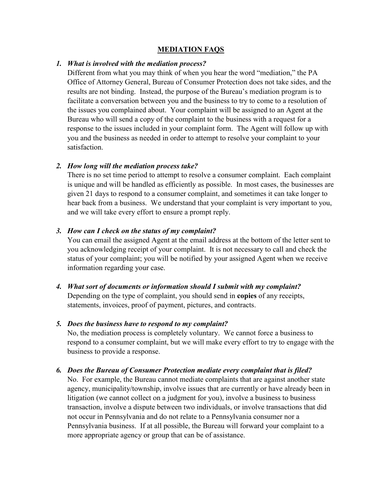### **MEDIATION FAQS**

#### *1. What is involved with the mediation process?*

Different from what you may think of when you hear the word "mediation," the PA Office of Attorney General, Bureau of Consumer Protection does not take sides, and the results are not binding. Instead, the purpose of the Bureau's mediation program is to facilitate a conversation between you and the business to try to come to a resolution of the issues you complained about. Your complaint will be assigned to an Agent at the Bureau who will send a copy of the complaint to the business with a request for a response to the issues included in your complaint form. The Agent will follow up with you and the business as needed in order to attempt to resolve your complaint to your satisfaction.

#### *2. How long will the mediation process take?*

There is no set time period to attempt to resolve a consumer complaint. Each complaint is unique and will be handled as efficiently as possible. In most cases, the businesses are given 21 days to respond to a consumer complaint, and sometimes it can take longer to hear back from a business. We understand that your complaint is very important to you, and we will take every effort to ensure a prompt reply.

#### *3. How can I check on the status of my complaint?*

You can email the assigned Agent at the email address at the bottom of the letter sent to you acknowledging receipt of your complaint. It is not necessary to call and check the status of your complaint; you will be notified by your assigned Agent when we receive information regarding your case.

# *4. What sort of documents or information should I submit with my complaint?*

Depending on the type of complaint, you should send in **copies** of any receipts, statements, invoices, proof of payment, pictures, and contracts.

## *5. Does the business have to respond to my complaint?*

No, the mediation process is completely voluntary. We cannot force a business to respond to a consumer complaint, but we will make every effort to try to engage with the business to provide a response.

## *6. Does the Bureau of Consumer Protection mediate every complaint that is filed?*

No. For example, the Bureau cannot mediate complaints that are against another state agency, municipality/township, involve issues that are currently or have already been in litigation (we cannot collect on a judgment for you), involve a business to business transaction, involve a dispute between two individuals, or involve transactions that did not occur in Pennsylvania and do not relate to a Pennsylvania consumer nor a Pennsylvania business. If at all possible, the Bureau will forward your complaint to a more appropriate agency or group that can be of assistance.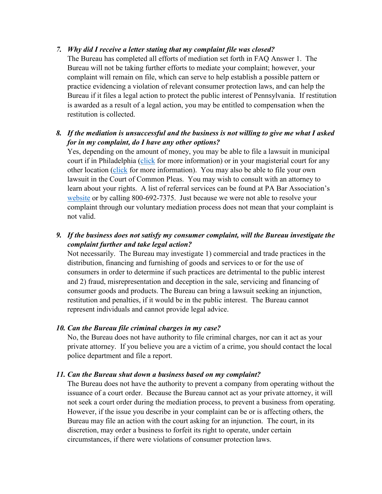## *7. Why did I receive a letter stating that my complaint file was closed?*

The Bureau has completed all efforts of mediation set forth in FAQ Answer 1. The Bureau will not be taking further efforts to mediate your complaint; however, your complaint will remain on file, which can serve to help establish a possible pattern or practice evidencing a violation of relevant consumer protection laws, and can help the Bureau if it files a legal action to protect the public interest of Pennsylvania. If restitution is awarded as a result of a legal action, you may be entitled to compensation when the restitution is collected.

# *8. If the mediation is unsuccessful and the business is not willing to give me what I asked for in my complaint, do I have any other options?*

Yes, depending on the amount of money, you may be able to file a lawsuit in municipal court if in Philadelphia [\(click](http://www.courts.phila.gov/pdf/brochures/mc/SMALL-CLAIMS-PAMPHLET.pdf) for more information) or in your magisterial court for any other location [\(click](http://www.pabar.org/clips/bringingsuitBeforeDJ.pdf) for more information). You may also be able to file your own lawsuit in the Court of Common Pleas. You may wish to consult with an attorney to learn about your rights. A list of referral services can be found at PA Bar Association's [website](http://www.pabar.org/site/For-the-Public/Find-a-Lawyer) or by calling 800-692-7375. Just because we were not able to resolve your complaint through our voluntary mediation process does not mean that your complaint is not valid.

# *9. If the business does not satisfy my consumer complaint, will the Bureau investigate the complaint further and take legal action?*

Not necessarily. The Bureau may investigate 1) commercial and trade practices in the distribution, financing and furnishing of goods and services to or for the use of consumers in order to determine if such practices are detrimental to the public interest and 2) fraud, misrepresentation and deception in the sale, servicing and financing of consumer goods and products. The Bureau can bring a lawsuit seeking an injunction, restitution and penalties, if it would be in the public interest. The Bureau cannot represent individuals and cannot provide legal advice.

## *10. Can the Bureau file criminal charges in my case?*

No, the Bureau does not have authority to file criminal charges, nor can it act as your private attorney. If you believe you are a victim of a crime, you should contact the local police department and file a report.

## *11. Can the Bureau shut down a business based on my complaint?*

The Bureau does not have the authority to prevent a company from operating without the issuance of a court order. Because the Bureau cannot act as your private attorney, it will not seek a court order during the mediation process, to prevent a business from operating. However, if the issue you describe in your complaint can be or is affecting others, the Bureau may file an action with the court asking for an injunction. The court, in its discretion, may order a business to forfeit its right to operate, under certain circumstances, if there were violations of consumer protection laws.